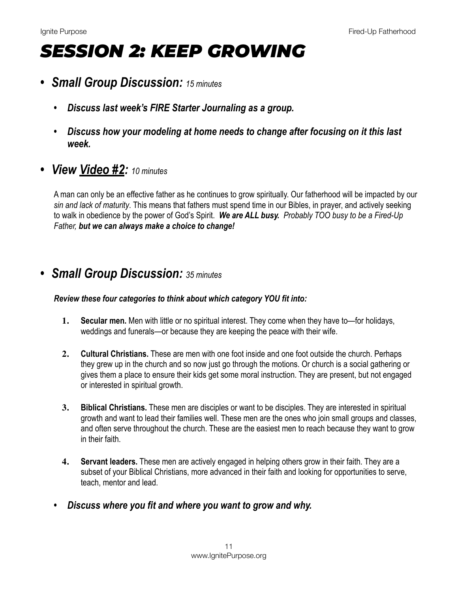## *SESSION 2: KEEP GROWING*

- *• Small Group Discussion: 15 minutes*
	- *• Discuss last week's FIRE Starter Journaling as a group.*
	- *• Discuss how your modeling at home needs to change after focusing on it this last week.*
- *• View [Video #2:](https://www.youtube.com/watch?v=Gg9kzYUJS1k) 10 minutes*

A man can only be an effective father as he continues to grow spiritually. Our fatherhood will be impacted by our *sin and lack of maturity*. This means that fathers must spend time in our Bibles, in prayer, and actively seeking to walk in obedience by the power of God's Spirit. *We are ALL busy. Probably TOO busy to be a Fired-Up Father, but we can always make a choice to change!*

## *• Small Group Discussion: 35 minutes*

## *Review these four categories to think about which category YOU fit into:*

- **1. Secular men.** Men with little or no spiritual interest. They come when they have to—for holidays, weddings and funerals—or because they are keeping the peace with their wife.
- **2. Cultural Christians.** These are men with one foot inside and one foot outside the church. Perhaps they grew up in the church and so now just go through the motions. Or church is a social gathering or gives them a place to ensure their kids get some moral instruction. They are present, but not engaged or interested in spiritual growth.
- **3. Biblical Christians.** These men are disciples or want to be disciples. They are interested in spiritual growth and want to lead their families well. These men are the ones who join small groups and classes, and often serve throughout the church. These are the easiest men to reach because they want to grow in their faith.
- **4. Servant leaders.** These men are actively engaged in helping others grow in their faith. They are a subset of your Biblical Christians, more advanced in their faith and looking for opportunities to serve, teach, mentor and lead.
- *• Discuss where you fit and where you want to grow and why.*